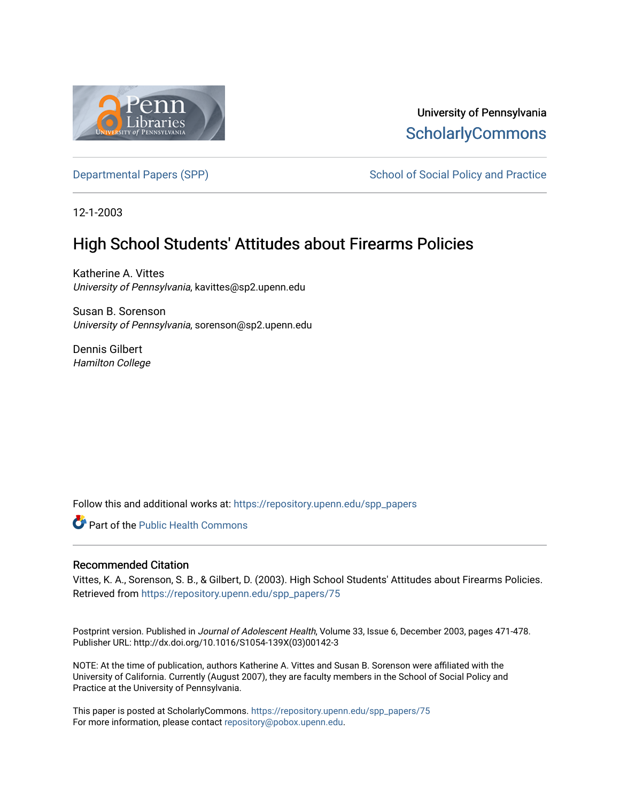

University of Pennsylvania **ScholarlyCommons** 

[Departmental Papers \(SPP\)](https://repository.upenn.edu/spp_papers) School of Social Policy and Practice

12-1-2003

# High School Students' Attitudes about Firearms Policies

Katherine A. Vittes University of Pennsylvania, kavittes@sp2.upenn.edu

Susan B. Sorenson University of Pennsylvania, sorenson@sp2.upenn.edu

Dennis Gilbert Hamilton College

Follow this and additional works at: [https://repository.upenn.edu/spp\\_papers](https://repository.upenn.edu/spp_papers?utm_source=repository.upenn.edu%2Fspp_papers%2F75&utm_medium=PDF&utm_campaign=PDFCoverPages) 

Part of the [Public Health Commons](http://network.bepress.com/hgg/discipline/738?utm_source=repository.upenn.edu%2Fspp_papers%2F75&utm_medium=PDF&utm_campaign=PDFCoverPages) 

## Recommended Citation

Vittes, K. A., Sorenson, S. B., & Gilbert, D. (2003). High School Students' Attitudes about Firearms Policies. Retrieved from [https://repository.upenn.edu/spp\\_papers/75](https://repository.upenn.edu/spp_papers/75?utm_source=repository.upenn.edu%2Fspp_papers%2F75&utm_medium=PDF&utm_campaign=PDFCoverPages)

Postprint version. Published in Journal of Adolescent Health, Volume 33, Issue 6, December 2003, pages 471-478. Publisher URL: http://dx.doi.org/10.1016/S1054-139X(03)00142-3

NOTE: At the time of publication, authors Katherine A. Vittes and Susan B. Sorenson were affiliated with the University of California. Currently (August 2007), they are faculty members in the School of Social Policy and Practice at the University of Pennsylvania.

This paper is posted at ScholarlyCommons. [https://repository.upenn.edu/spp\\_papers/75](https://repository.upenn.edu/spp_papers/75)  For more information, please contact [repository@pobox.upenn.edu.](mailto:repository@pobox.upenn.edu)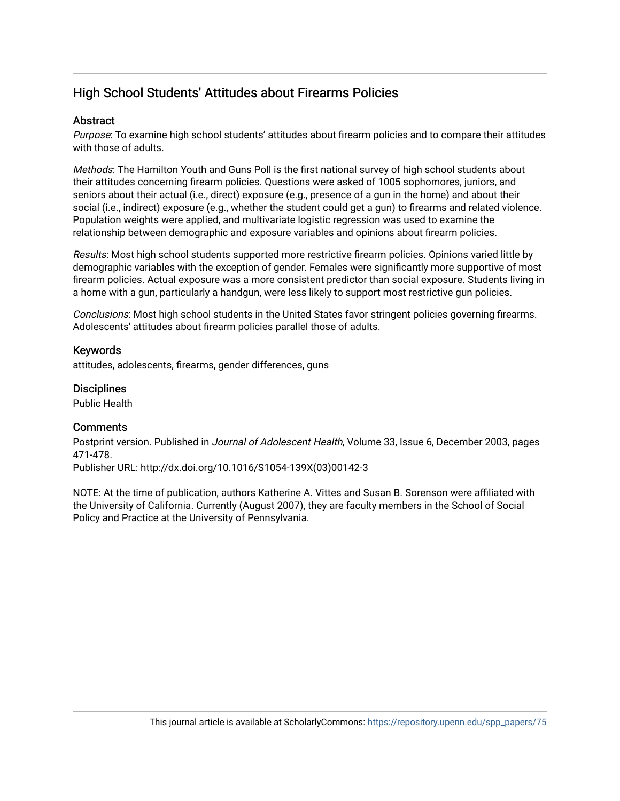## High School Students' Attitudes about Firearms Policies

## **Abstract**

Purpose: To examine high school students' attitudes about firearm policies and to compare their attitudes with those of adults.

Methods: The Hamilton Youth and Guns Poll is the first national survey of high school students about their attitudes concerning firearm policies. Questions were asked of 1005 sophomores, juniors, and seniors about their actual (i.e., direct) exposure (e.g., presence of a gun in the home) and about their social (i.e., indirect) exposure (e.g., whether the student could get a gun) to firearms and related violence. Population weights were applied, and multivariate logistic regression was used to examine the relationship between demographic and exposure variables and opinions about firearm policies.

Results: Most high school students supported more restrictive firearm policies. Opinions varied little by demographic variables with the exception of gender. Females were significantly more supportive of most firearm policies. Actual exposure was a more consistent predictor than social exposure. Students living in a home with a gun, particularly a handgun, were less likely to support most restrictive gun policies.

Conclusions: Most high school students in the United States favor stringent policies governing firearms. Adolescents' attitudes about firearm policies parallel those of adults.

## Keywords

attitudes, adolescents, firearms, gender differences, guns

## **Disciplines**

Public Health

## **Comments**

Postprint version. Published in Journal of Adolescent Health, Volume 33, Issue 6, December 2003, pages 471-478.

Publisher URL: http://dx.doi.org/10.1016/S1054-139X(03)00142-3

NOTE: At the time of publication, authors Katherine A. Vittes and Susan B. Sorenson were affiliated with the University of California. Currently (August 2007), they are faculty members in the School of Social Policy and Practice at the University of Pennsylvania.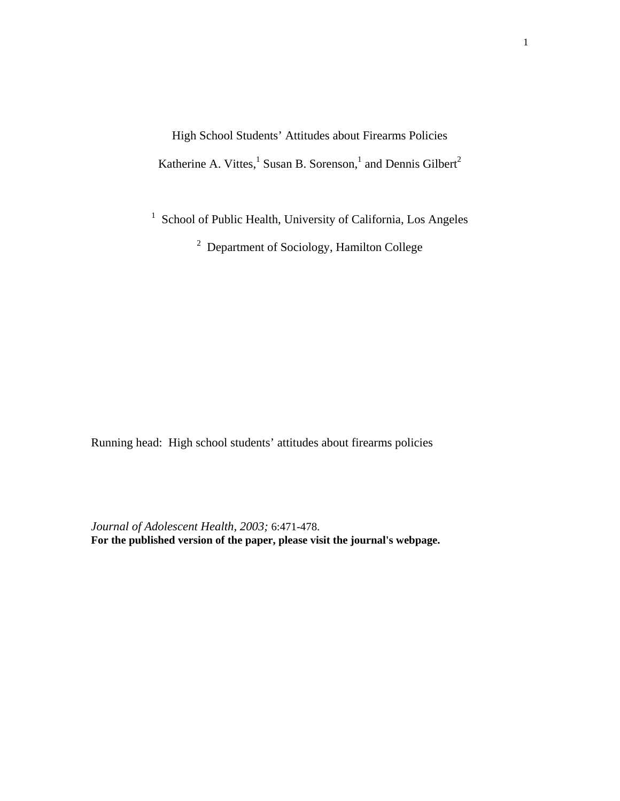High School Students' Attitudes about Firearms Policies Katherine A. Vittes,<sup>1</sup> Susan B. Sorenson,<sup>1</sup> and Dennis Gilbert<sup>2</sup>

<sup>1</sup> School of Public Health, University of California, Los Angeles

 $2$  Department of Sociology, Hamilton College

Running head: High school students' attitudes about firearms policies

*Journal of Adolescent Health, 2003;* 6:471-478. **For the published version of the paper, please visit the journal's webpage.**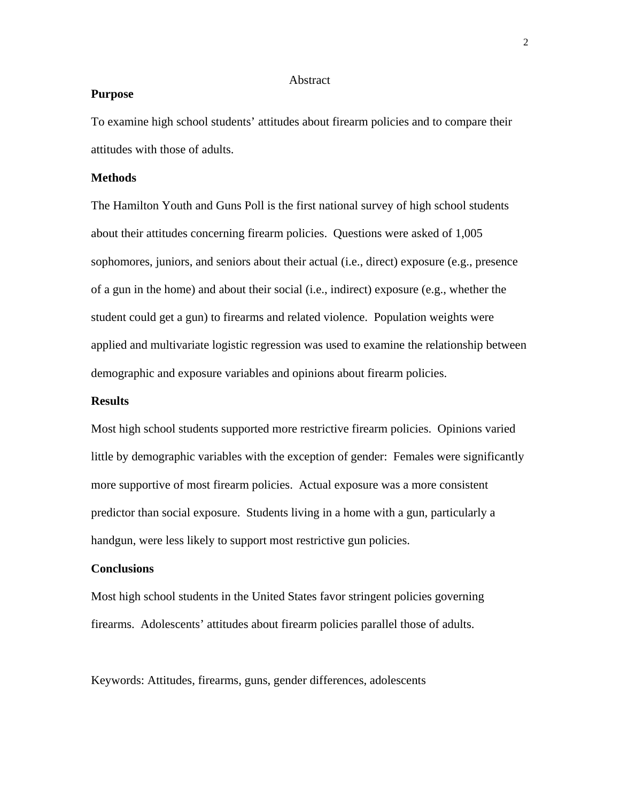#### Abstract

### **Purpose**

To examine high school students' attitudes about firearm policies and to compare their attitudes with those of adults.

## **Methods**

The Hamilton Youth and Guns Poll is the first national survey of high school students about their attitudes concerning firearm policies. Questions were asked of 1,005 sophomores, juniors, and seniors about their actual (i.e., direct) exposure (e.g., presence of a gun in the home) and about their social (i.e., indirect) exposure (e.g., whether the student could get a gun) to firearms and related violence. Population weights were applied and multivariate logistic regression was used to examine the relationship between demographic and exposure variables and opinions about firearm policies.

### **Results**

Most high school students supported more restrictive firearm policies. Opinions varied little by demographic variables with the exception of gender: Females were significantly more supportive of most firearm policies. Actual exposure was a more consistent predictor than social exposure. Students living in a home with a gun, particularly a handgun, were less likely to support most restrictive gun policies.

## **Conclusions**

Most high school students in the United States favor stringent policies governing firearms. Adolescents' attitudes about firearm policies parallel those of adults.

Keywords: Attitudes, firearms, guns, gender differences, adolescents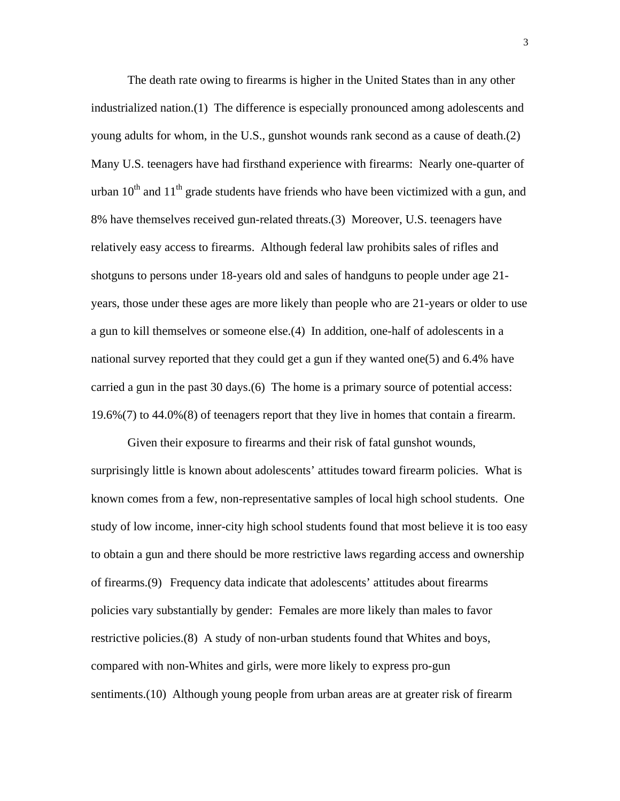The death rate owing to firearms is higher in the United States than in any other industrialized nation.(1) The difference is especially pronounced among adolescents and young adults for whom, in the U.S., gunshot wounds rank second as a cause of death.(2) Many U.S. teenagers have had firsthand experience with firearms: Nearly one-quarter of urban  $10^{th}$  and  $11^{th}$  grade students have friends who have been victimized with a gun, and 8% have themselves received gun-related threats.(3) Moreover, U.S. teenagers have relatively easy access to firearms. Although federal law prohibits sales of rifles and shotguns to persons under 18-years old and sales of handguns to people under age 21 years, those under these ages are more likely than people who are 21-years or older to use a gun to kill themselves or someone else.(4) In addition, one-half of adolescents in a national survey reported that they could get a gun if they wanted one(5) and 6.4% have carried a gun in the past 30 days.(6) The home is a primary source of potential access: 19.6%(7) to 44.0%(8) of teenagers report that they live in homes that contain a firearm.

Given their exposure to firearms and their risk of fatal gunshot wounds, surprisingly little is known about adolescents' attitudes toward firearm policies. What is known comes from a few, non-representative samples of local high school students. One study of low income, inner-city high school students found that most believe it is too easy to obtain a gun and there should be more restrictive laws regarding access and ownership of firearms.(9) Frequency data indicate that adolescents' attitudes about firearms policies vary substantially by gender: Females are more likely than males to favor restrictive policies.(8) A study of non-urban students found that Whites and boys, compared with non-Whites and girls, were more likely to express pro-gun sentiments.(10) Although young people from urban areas are at greater risk of firearm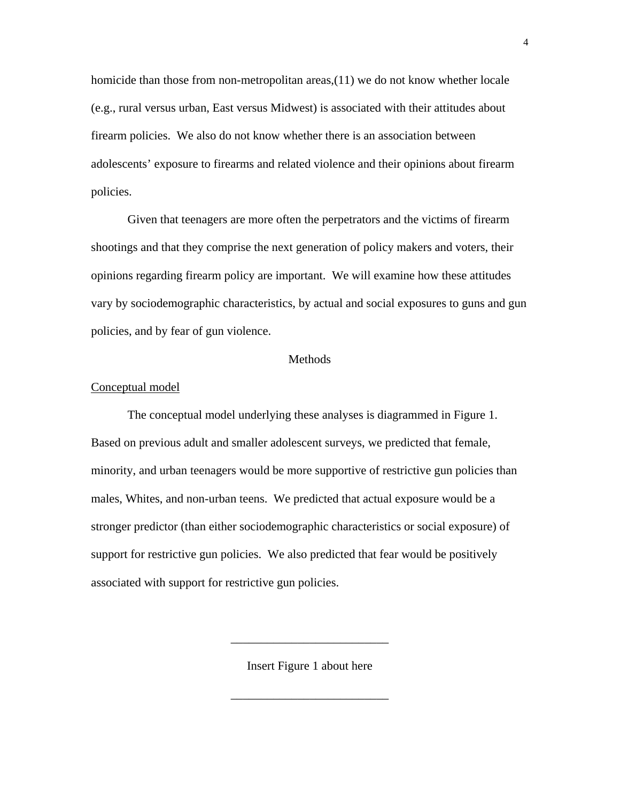homicide than those from non-metropolitan areas,(11) we do not know whether locale (e.g., rural versus urban, East versus Midwest) is associated with their attitudes about firearm policies. We also do not know whether there is an association between adolescents' exposure to firearms and related violence and their opinions about firearm policies.

Given that teenagers are more often the perpetrators and the victims of firearm shootings and that they comprise the next generation of policy makers and voters, their opinions regarding firearm policy are important. We will examine how these attitudes vary by sociodemographic characteristics, by actual and social exposures to guns and gun policies, and by fear of gun violence.

#### Methods

#### Conceptual model

The conceptual model underlying these analyses is diagrammed in Figure 1. Based on previous adult and smaller adolescent surveys, we predicted that female, minority, and urban teenagers would be more supportive of restrictive gun policies than males, Whites, and non-urban teens. We predicted that actual exposure would be a stronger predictor (than either sociodemographic characteristics or social exposure) of support for restrictive gun policies. We also predicted that fear would be positively associated with support for restrictive gun policies.

Insert Figure 1 about here

\_\_\_\_\_\_\_\_\_\_\_\_\_\_\_\_\_\_\_\_\_\_\_\_\_\_

\_\_\_\_\_\_\_\_\_\_\_\_\_\_\_\_\_\_\_\_\_\_\_\_\_\_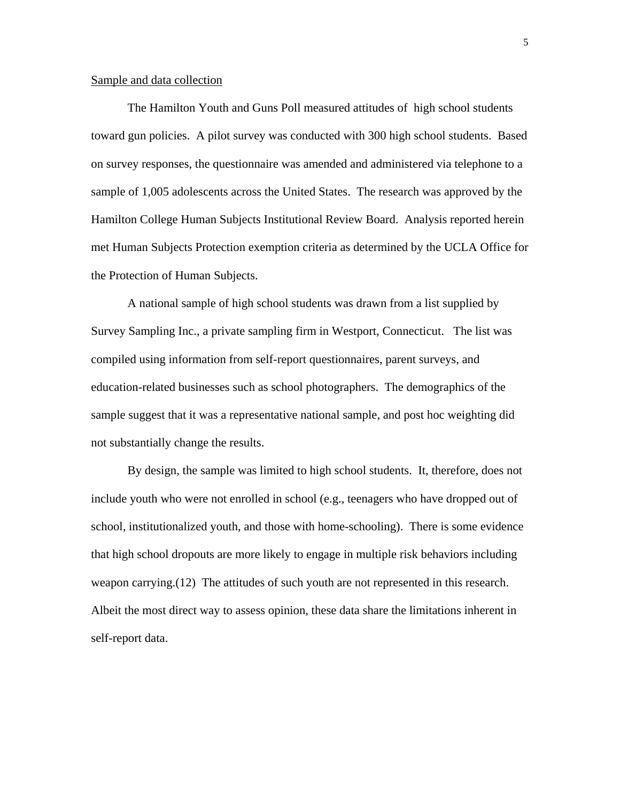### Sample and data collection

The Hamilton Youth and Guns Poll measured attitudes of high school students toward gun policies. A pilot survey was conducted with 300 high school students. Based on survey responses, the questionnaire was amended and administered via telephone to a sample of 1,005 adolescents across the United States. The research was approved by the Hamilton College Human Subjects Institutional Review Board. Analysis reported herein met Human Subjects Protection exemption criteria as determined by the UCLA Office for the Protection of Human Subjects.

A national sample of high school students was drawn from a list supplied by Survey Sampling Inc., a private sampling firm in Westport, Connecticut. The list was compiled using information from self-report questionnaires, parent surveys, and education-related businesses such as school photographers. The demographics of the sample suggest that it was a representative national sample, and post hoc weighting did not substantially change the results.

By design, the sample was limited to high school students. It, therefore, does not include youth who were not enrolled in school (e.g., teenagers who have dropped out of school, institutionalized youth, and those with home-schooling). There is some evidence that high school dropouts are more likely to engage in multiple risk behaviors including weapon carrying.(12) The attitudes of such youth are not represented in this research. Albeit the most direct way to assess opinion, these data share the limitations inherent in self-report data.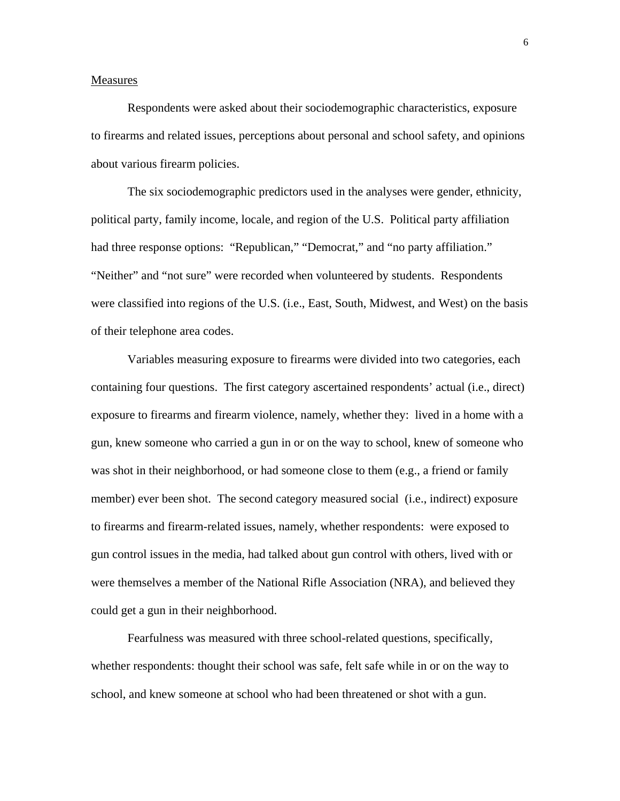#### Measures

Respondents were asked about their sociodemographic characteristics, exposure to firearms and related issues, perceptions about personal and school safety, and opinions about various firearm policies.

The six sociodemographic predictors used in the analyses were gender, ethnicity, political party, family income, locale, and region of the U.S. Political party affiliation had three response options: "Republican," "Democrat," and "no party affiliation." "Neither" and "not sure" were recorded when volunteered by students. Respondents were classified into regions of the U.S. (i.e., East, South, Midwest, and West) on the basis of their telephone area codes.

Variables measuring exposure to firearms were divided into two categories, each containing four questions. The first category ascertained respondents' actual (i.e., direct) exposure to firearms and firearm violence, namely, whether they: lived in a home with a gun, knew someone who carried a gun in or on the way to school, knew of someone who was shot in their neighborhood, or had someone close to them (e.g., a friend or family member) ever been shot. The second category measured social (i.e., indirect) exposure to firearms and firearm-related issues, namely, whether respondents: were exposed to gun control issues in the media, had talked about gun control with others, lived with or were themselves a member of the National Rifle Association (NRA), and believed they could get a gun in their neighborhood.

Fearfulness was measured with three school-related questions, specifically, whether respondents: thought their school was safe, felt safe while in or on the way to school, and knew someone at school who had been threatened or shot with a gun.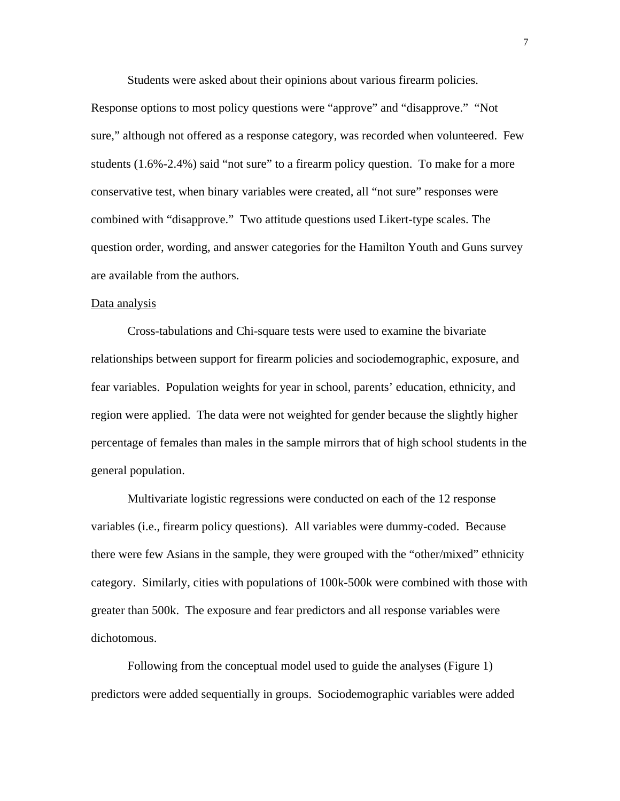Students were asked about their opinions about various firearm policies.

Response options to most policy questions were "approve" and "disapprove." "Not sure," although not offered as a response category, was recorded when volunteered. Few students (1.6%-2.4%) said "not sure" to a firearm policy question. To make for a more conservative test, when binary variables were created, all "not sure" responses were combined with "disapprove." Two attitude questions used Likert-type scales. The question order, wording, and answer categories for the Hamilton Youth and Guns survey are available from the authors.

#### Data analysis

Cross-tabulations and Chi-square tests were used to examine the bivariate relationships between support for firearm policies and sociodemographic, exposure, and fear variables. Population weights for year in school, parents' education, ethnicity, and region were applied. The data were not weighted for gender because the slightly higher percentage of females than males in the sample mirrors that of high school students in the general population.

Multivariate logistic regressions were conducted on each of the 12 response variables (i.e., firearm policy questions). All variables were dummy-coded. Because there were few Asians in the sample, they were grouped with the "other/mixed" ethnicity category. Similarly, cities with populations of 100k-500k were combined with those with greater than 500k. The exposure and fear predictors and all response variables were dichotomous.

Following from the conceptual model used to guide the analyses (Figure 1) predictors were added sequentially in groups. Sociodemographic variables were added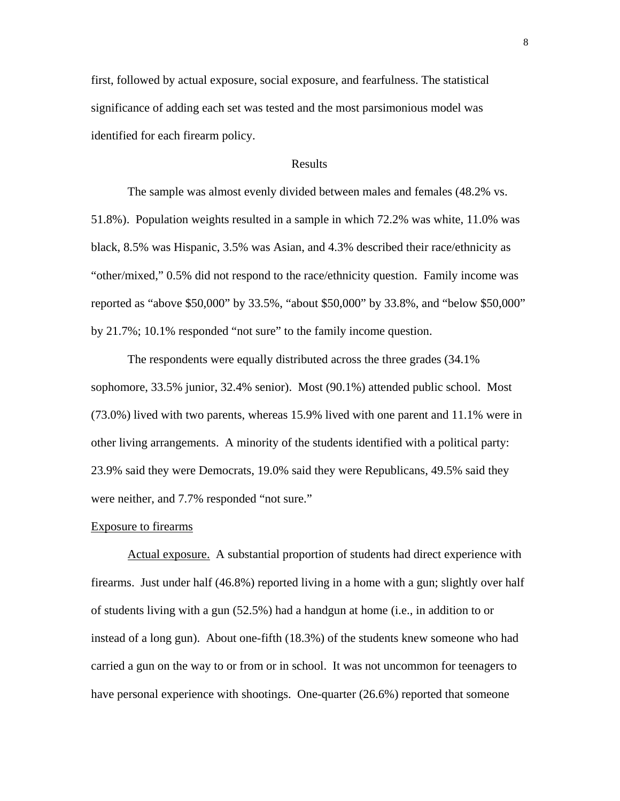first, followed by actual exposure, social exposure, and fearfulness. The statistical significance of adding each set was tested and the most parsimonious model was identified for each firearm policy.

## Results

The sample was almost evenly divided between males and females (48.2% vs. 51.8%). Population weights resulted in a sample in which 72.2% was white, 11.0% was black, 8.5% was Hispanic, 3.5% was Asian, and 4.3% described their race/ethnicity as "other/mixed," 0.5% did not respond to the race/ethnicity question. Family income was reported as "above \$50,000" by 33.5%, "about \$50,000" by 33.8%, and "below \$50,000" by 21.7%; 10.1% responded "not sure" to the family income question.

The respondents were equally distributed across the three grades (34.1% sophomore, 33.5% junior, 32.4% senior). Most (90.1%) attended public school. Most (73.0%) lived with two parents, whereas 15.9% lived with one parent and 11.1% were in other living arrangements. A minority of the students identified with a political party: 23.9% said they were Democrats, 19.0% said they were Republicans, 49.5% said they were neither, and 7.7% responded "not sure."

#### Exposure to firearms

Actual exposure. A substantial proportion of students had direct experience with firearms. Just under half (46.8%) reported living in a home with a gun; slightly over half of students living with a gun (52.5%) had a handgun at home (i.e., in addition to or instead of a long gun). About one-fifth (18.3%) of the students knew someone who had carried a gun on the way to or from or in school. It was not uncommon for teenagers to have personal experience with shootings. One-quarter (26.6%) reported that someone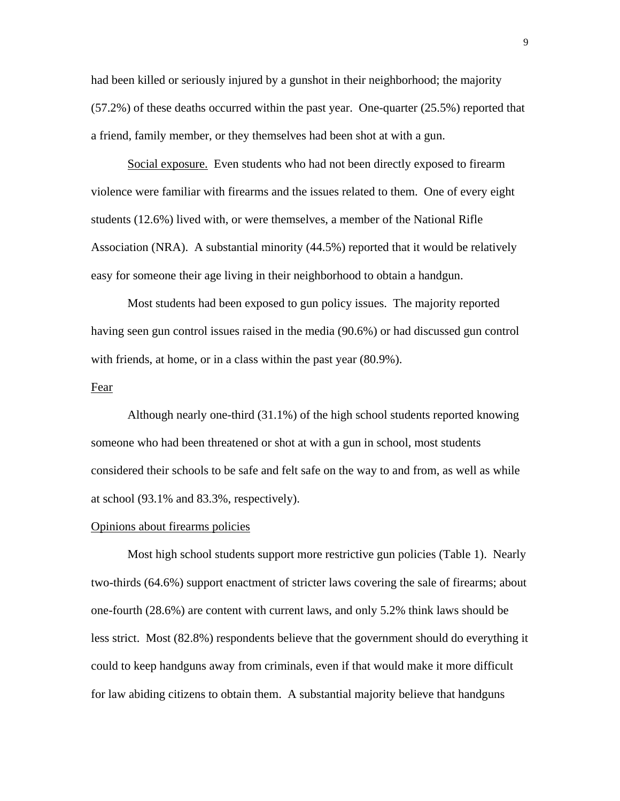had been killed or seriously injured by a gunshot in their neighborhood; the majority (57.2%) of these deaths occurred within the past year. One-quarter (25.5%) reported that a friend, family member, or they themselves had been shot at with a gun.

Social exposure. Even students who had not been directly exposed to firearm violence were familiar with firearms and the issues related to them. One of every eight students (12.6%) lived with, or were themselves, a member of the National Rifle Association (NRA). A substantial minority (44.5%) reported that it would be relatively easy for someone their age living in their neighborhood to obtain a handgun.

Most students had been exposed to gun policy issues. The majority reported having seen gun control issues raised in the media (90.6%) or had discussed gun control with friends, at home, or in a class within the past year (80.9%).

#### Fear

Although nearly one-third (31.1%) of the high school students reported knowing someone who had been threatened or shot at with a gun in school, most students considered their schools to be safe and felt safe on the way to and from, as well as while at school (93.1% and 83.3%, respectively).

#### Opinions about firearms policies

Most high school students support more restrictive gun policies (Table 1). Nearly two-thirds (64.6%) support enactment of stricter laws covering the sale of firearms; about one-fourth (28.6%) are content with current laws, and only 5.2% think laws should be less strict. Most (82.8%) respondents believe that the government should do everything it could to keep handguns away from criminals, even if that would make it more difficult for law abiding citizens to obtain them. A substantial majority believe that handguns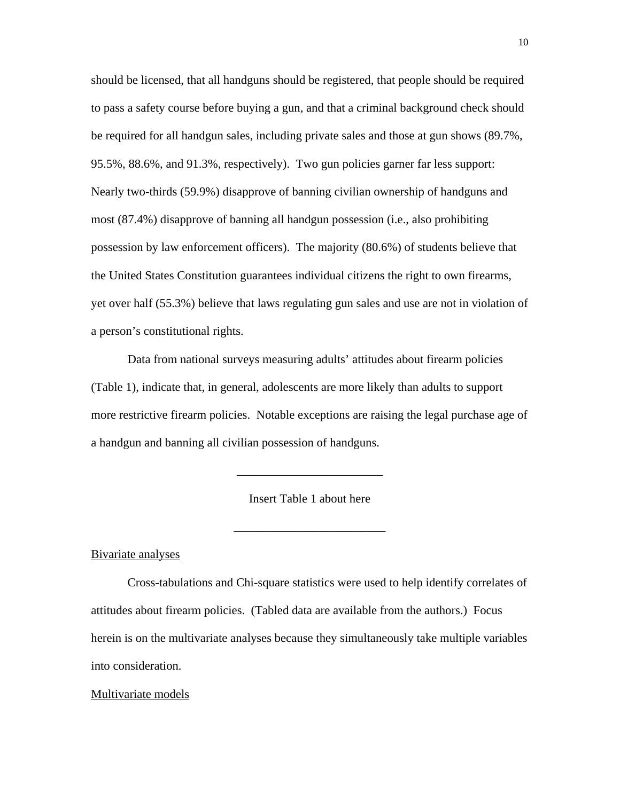should be licensed, that all handguns should be registered, that people should be required to pass a safety course before buying a gun, and that a criminal background check should be required for all handgun sales, including private sales and those at gun shows (89.7%, 95.5%, 88.6%, and 91.3%, respectively). Two gun policies garner far less support: Nearly two-thirds (59.9%) disapprove of banning civilian ownership of handguns and most (87.4%) disapprove of banning all handgun possession (i.e., also prohibiting possession by law enforcement officers). The majority (80.6%) of students believe that the United States Constitution guarantees individual citizens the right to own firearms, yet over half (55.3%) believe that laws regulating gun sales and use are not in violation of a person's constitutional rights.

Data from national surveys measuring adults' attitudes about firearm policies (Table 1), indicate that, in general, adolescents are more likely than adults to support more restrictive firearm policies. Notable exceptions are raising the legal purchase age of a handgun and banning all civilian possession of handguns.

Insert Table 1 about here

\_\_\_\_\_\_\_\_\_\_\_\_\_\_\_\_\_\_\_\_\_\_\_\_\_

\_\_\_\_\_\_\_\_\_\_\_\_\_\_\_\_\_\_\_\_\_\_\_\_

Bivariate analyses

Cross-tabulations and Chi-square statistics were used to help identify correlates of attitudes about firearm policies. (Tabled data are available from the authors.) Focus herein is on the multivariate analyses because they simultaneously take multiple variables into consideration.

#### Multivariate models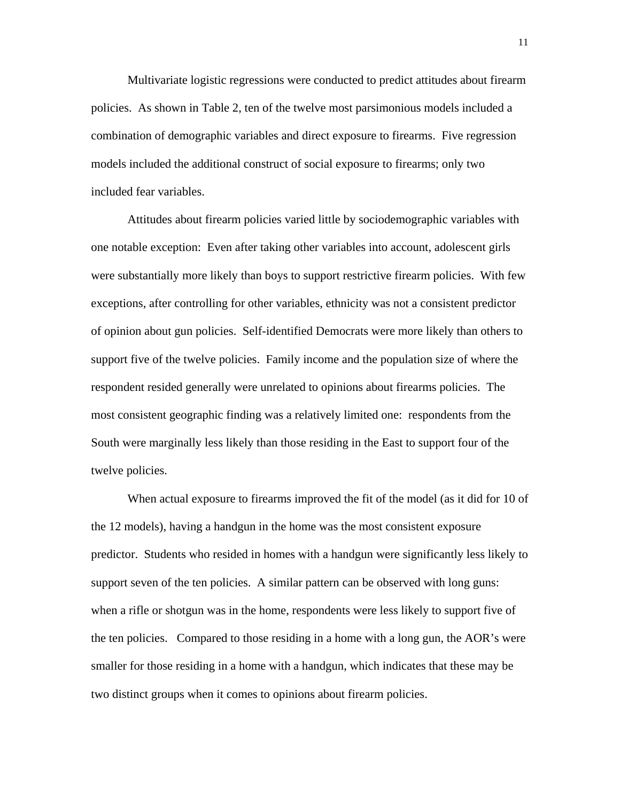Multivariate logistic regressions were conducted to predict attitudes about firearm policies. As shown in Table 2, ten of the twelve most parsimonious models included a combination of demographic variables and direct exposure to firearms. Five regression models included the additional construct of social exposure to firearms; only two included fear variables.

Attitudes about firearm policies varied little by sociodemographic variables with one notable exception: Even after taking other variables into account, adolescent girls were substantially more likely than boys to support restrictive firearm policies. With few exceptions, after controlling for other variables, ethnicity was not a consistent predictor of opinion about gun policies. Self-identified Democrats were more likely than others to support five of the twelve policies. Family income and the population size of where the respondent resided generally were unrelated to opinions about firearms policies. The most consistent geographic finding was a relatively limited one: respondents from the South were marginally less likely than those residing in the East to support four of the twelve policies.

 When actual exposure to firearms improved the fit of the model (as it did for 10 of the 12 models), having a handgun in the home was the most consistent exposure predictor. Students who resided in homes with a handgun were significantly less likely to support seven of the ten policies. A similar pattern can be observed with long guns: when a rifle or shotgun was in the home, respondents were less likely to support five of the ten policies. Compared to those residing in a home with a long gun, the AOR's were smaller for those residing in a home with a handgun, which indicates that these may be two distinct groups when it comes to opinions about firearm policies.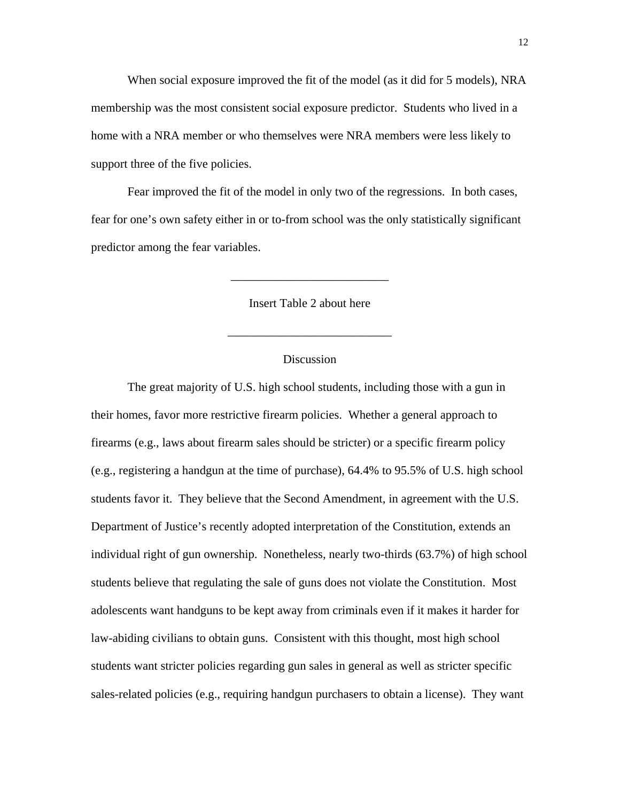When social exposure improved the fit of the model (as it did for 5 models), NRA membership was the most consistent social exposure predictor. Students who lived in a home with a NRA member or who themselves were NRA members were less likely to support three of the five policies.

 Fear improved the fit of the model in only two of the regressions. In both cases, fear for one's own safety either in or to-from school was the only statistically significant predictor among the fear variables.

Insert Table 2 about here

\_\_\_\_\_\_\_\_\_\_\_\_\_\_\_\_\_\_\_\_\_\_\_\_\_\_\_

\_\_\_\_\_\_\_\_\_\_\_\_\_\_\_\_\_\_\_\_\_\_\_\_\_\_

## Discussion

The great majority of U.S. high school students, including those with a gun in their homes, favor more restrictive firearm policies. Whether a general approach to firearms (e.g., laws about firearm sales should be stricter) or a specific firearm policy (e.g., registering a handgun at the time of purchase), 64.4% to 95.5% of U.S. high school students favor it. They believe that the Second Amendment, in agreement with the U.S. Department of Justice's recently adopted interpretation of the Constitution, extends an individual right of gun ownership. Nonetheless, nearly two-thirds (63.7%) of high school students believe that regulating the sale of guns does not violate the Constitution. Most adolescents want handguns to be kept away from criminals even if it makes it harder for law-abiding civilians to obtain guns. Consistent with this thought, most high school students want stricter policies regarding gun sales in general as well as stricter specific sales-related policies (e.g., requiring handgun purchasers to obtain a license). They want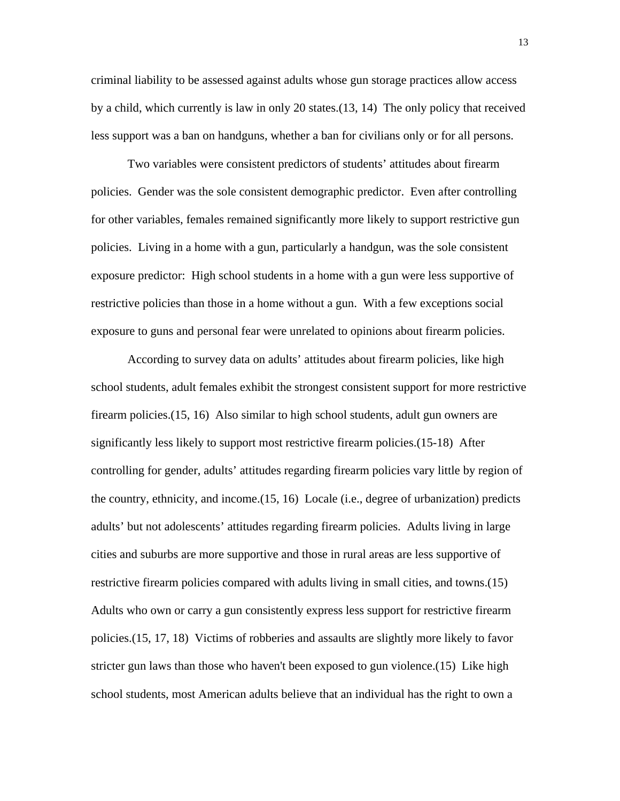criminal liability to be assessed against adults whose gun storage practices allow access by a child, which currently is law in only 20 states.(13, 14) The only policy that received less support was a ban on handguns, whether a ban for civilians only or for all persons.

Two variables were consistent predictors of students' attitudes about firearm policies. Gender was the sole consistent demographic predictor. Even after controlling for other variables, females remained significantly more likely to support restrictive gun policies. Living in a home with a gun, particularly a handgun, was the sole consistent exposure predictor: High school students in a home with a gun were less supportive of restrictive policies than those in a home without a gun. With a few exceptions social exposure to guns and personal fear were unrelated to opinions about firearm policies.

According to survey data on adults' attitudes about firearm policies, like high school students, adult females exhibit the strongest consistent support for more restrictive firearm policies.(15, 16) Also similar to high school students, adult gun owners are significantly less likely to support most restrictive firearm policies.(15-18) After controlling for gender, adults' attitudes regarding firearm policies vary little by region of the country, ethnicity, and income.(15, 16) Locale (i.e., degree of urbanization) predicts adults' but not adolescents' attitudes regarding firearm policies. Adults living in large cities and suburbs are more supportive and those in rural areas are less supportive of restrictive firearm policies compared with adults living in small cities, and towns.(15) Adults who own or carry a gun consistently express less support for restrictive firearm policies.(15, 17, 18) Victims of robberies and assaults are slightly more likely to favor stricter gun laws than those who haven't been exposed to gun violence.(15) Like high school students, most American adults believe that an individual has the right to own a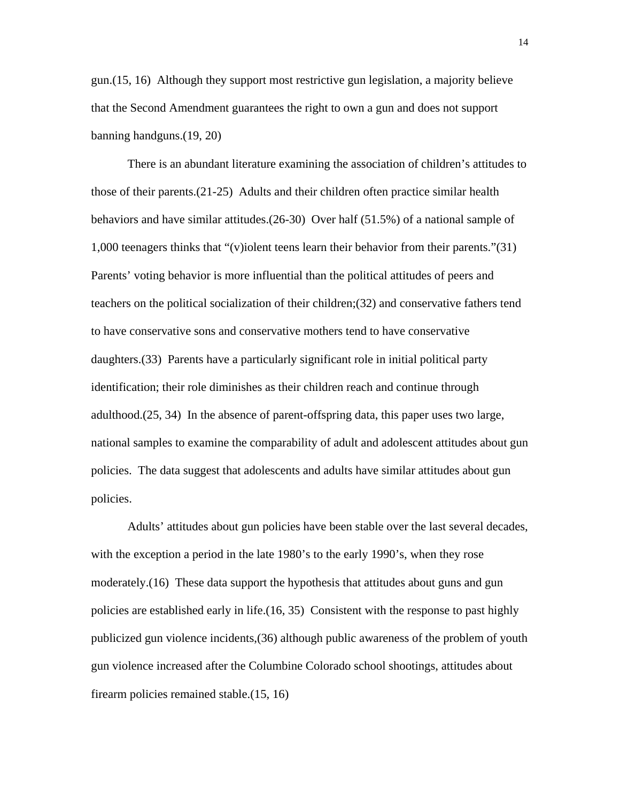gun.(15, 16) Although they support most restrictive gun legislation, a majority believe that the Second Amendment guarantees the right to own a gun and does not support banning handguns.(19, 20)

There is an abundant literature examining the association of children's attitudes to those of their parents.(21-25) Adults and their children often practice similar health behaviors and have similar attitudes.(26-30) Over half (51.5%) of a national sample of 1,000 teenagers thinks that "(v)iolent teens learn their behavior from their parents."(31) Parents' voting behavior is more influential than the political attitudes of peers and teachers on the political socialization of their children;(32) and conservative fathers tend to have conservative sons and conservative mothers tend to have conservative daughters.(33) Parents have a particularly significant role in initial political party identification; their role diminishes as their children reach and continue through adulthood.(25, 34) In the absence of parent-offspring data, this paper uses two large, national samples to examine the comparability of adult and adolescent attitudes about gun policies. The data suggest that adolescents and adults have similar attitudes about gun policies.

Adults' attitudes about gun policies have been stable over the last several decades, with the exception a period in the late 1980's to the early 1990's, when they rose moderately.(16) These data support the hypothesis that attitudes about guns and gun policies are established early in life.(16, 35) Consistent with the response to past highly publicized gun violence incidents,(36) although public awareness of the problem of youth gun violence increased after the Columbine Colorado school shootings, attitudes about firearm policies remained stable.(15, 16)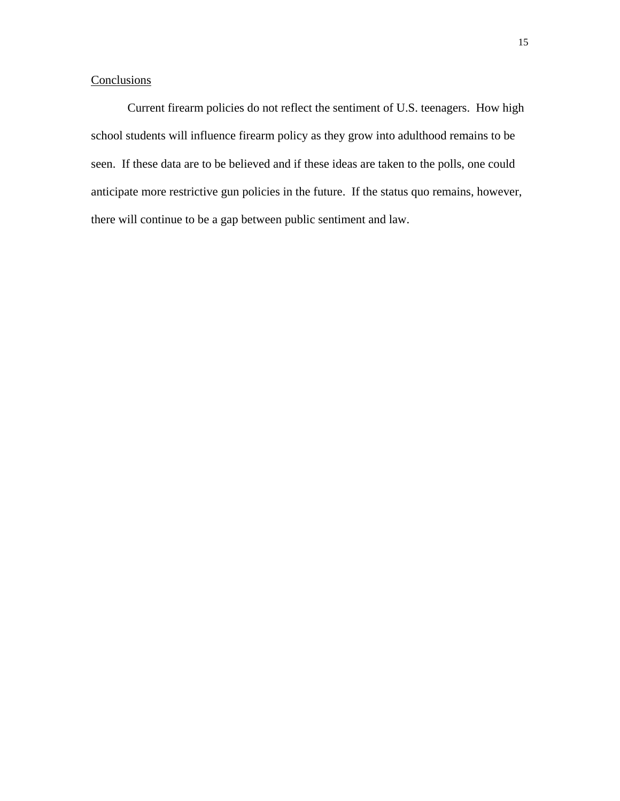## **Conclusions**

Current firearm policies do not reflect the sentiment of U.S. teenagers. How high school students will influence firearm policy as they grow into adulthood remains to be seen. If these data are to be believed and if these ideas are taken to the polls, one could anticipate more restrictive gun policies in the future. If the status quo remains, however, there will continue to be a gap between public sentiment and law.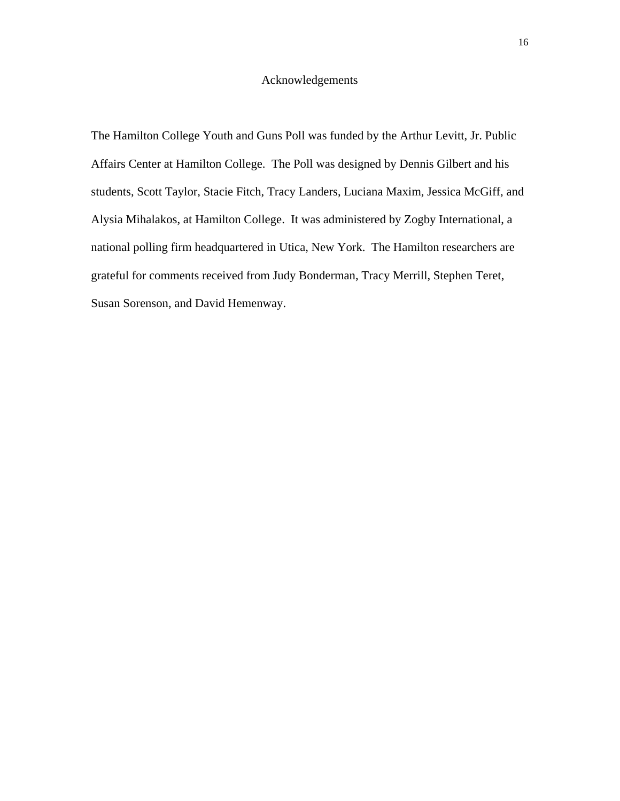## Acknowledgements

The Hamilton College Youth and Guns Poll was funded by the Arthur Levitt, Jr. Public Affairs Center at Hamilton College. The Poll was designed by Dennis Gilbert and his students, Scott Taylor, Stacie Fitch, Tracy Landers, Luciana Maxim, Jessica McGiff, and Alysia Mihalakos, at Hamilton College. It was administered by Zogby International, a national polling firm headquartered in Utica, New York. The Hamilton researchers are grateful for comments received from Judy Bonderman, Tracy Merrill, Stephen Teret, Susan Sorenson, and David Hemenway.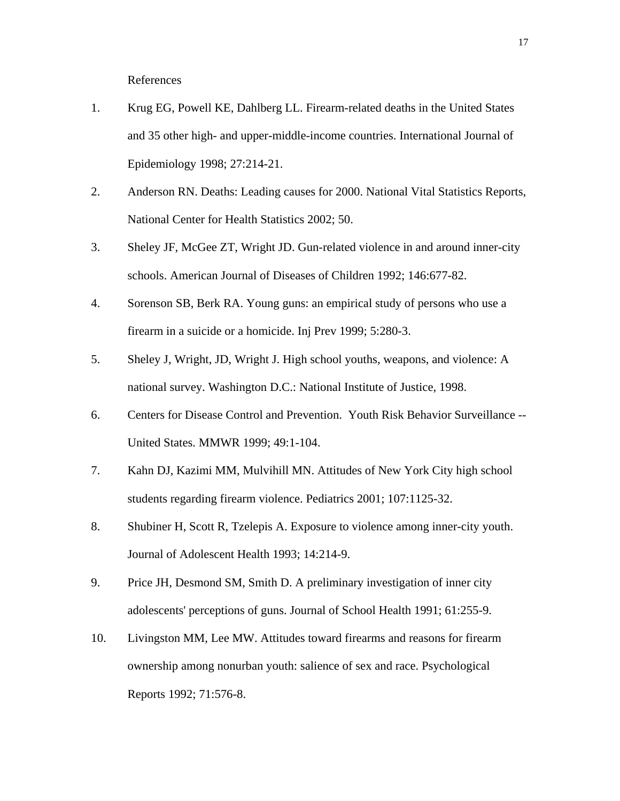References

- 1. Krug EG, Powell KE, Dahlberg LL. Firearm-related deaths in the United States and 35 other high- and upper-middle-income countries. International Journal of Epidemiology 1998; 27:214-21.
- 2. Anderson RN. Deaths: Leading causes for 2000. National Vital Statistics Reports, National Center for Health Statistics 2002; 50.
- 3. Sheley JF, McGee ZT, Wright JD. Gun-related violence in and around inner-city schools. American Journal of Diseases of Children 1992; 146:677-82.
- 4. Sorenson SB, Berk RA. Young guns: an empirical study of persons who use a firearm in a suicide or a homicide. Inj Prev 1999; 5:280-3.
- 5. Sheley J, Wright, JD, Wright J. High school youths, weapons, and violence: A national survey. Washington D.C.: National Institute of Justice, 1998.
- 6. Centers for Disease Control and Prevention. Youth Risk Behavior Surveillance -- United States. MMWR 1999; 49:1-104.
- 7. Kahn DJ, Kazimi MM, Mulvihill MN. Attitudes of New York City high school students regarding firearm violence. Pediatrics 2001; 107:1125-32.
- 8. Shubiner H, Scott R, Tzelepis A. Exposure to violence among inner-city youth. Journal of Adolescent Health 1993; 14:214-9.
- 9. Price JH, Desmond SM, Smith D. A preliminary investigation of inner city adolescents' perceptions of guns. Journal of School Health 1991; 61:255-9.
- 10. Livingston MM, Lee MW. Attitudes toward firearms and reasons for firearm ownership among nonurban youth: salience of sex and race. Psychological Reports 1992; 71:576-8.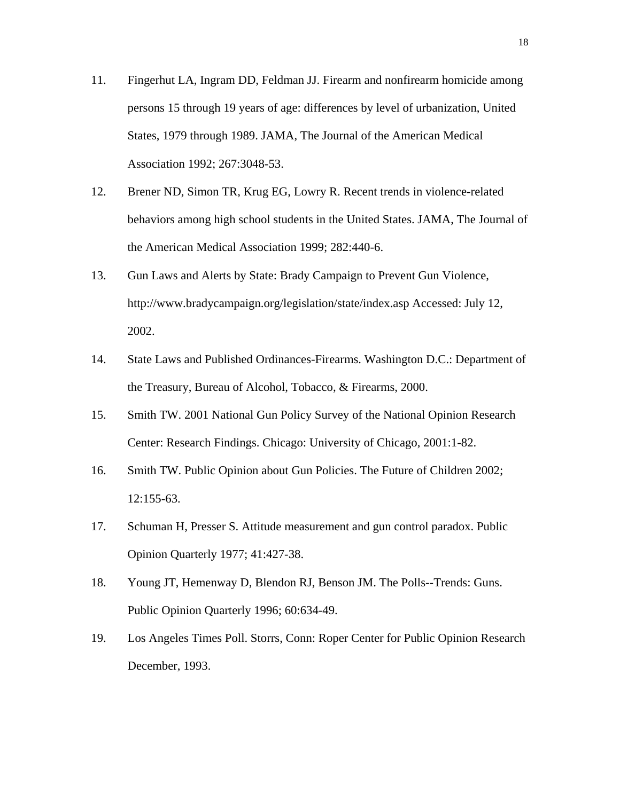- 11. Fingerhut LA, Ingram DD, Feldman JJ. Firearm and nonfirearm homicide among persons 15 through 19 years of age: differences by level of urbanization, United States, 1979 through 1989. JAMA, The Journal of the American Medical Association 1992; 267:3048-53.
- 12. Brener ND, Simon TR, Krug EG, Lowry R. Recent trends in violence-related behaviors among high school students in the United States. JAMA, The Journal of the American Medical Association 1999; 282:440-6.
- 13. Gun Laws and Alerts by State: Brady Campaign to Prevent Gun Violence, http://www.bradycampaign.org/legislation/state/index.asp Accessed: July 12, 2002.
- 14. State Laws and Published Ordinances-Firearms. Washington D.C.: Department of the Treasury, Bureau of Alcohol, Tobacco, & Firearms, 2000.
- 15. Smith TW. 2001 National Gun Policy Survey of the National Opinion Research Center: Research Findings. Chicago: University of Chicago, 2001:1-82.
- 16. Smith TW. Public Opinion about Gun Policies. The Future of Children 2002; 12:155-63.
- 17. Schuman H, Presser S. Attitude measurement and gun control paradox. Public Opinion Quarterly 1977; 41:427-38.
- 18. Young JT, Hemenway D, Blendon RJ, Benson JM. The Polls--Trends: Guns. Public Opinion Quarterly 1996; 60:634-49.
- 19. Los Angeles Times Poll. Storrs, Conn: Roper Center for Public Opinion Research December, 1993.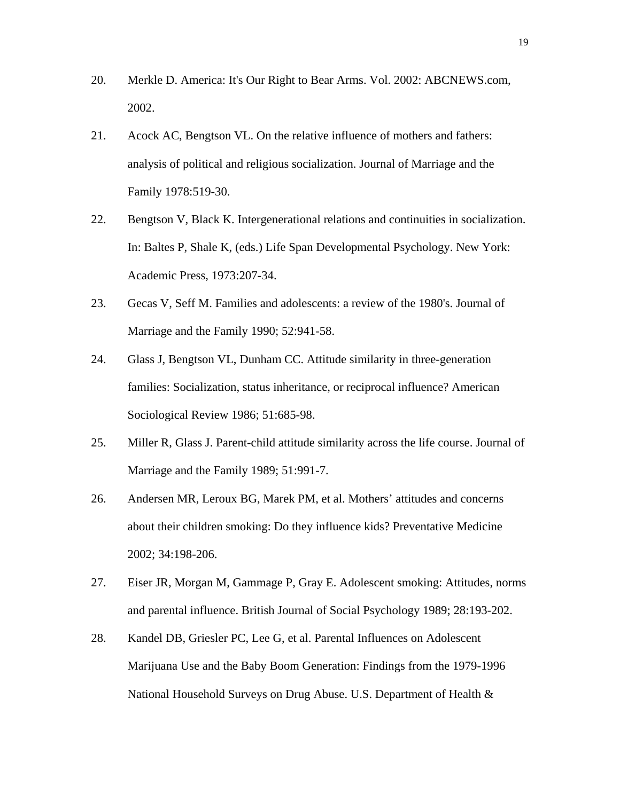- 20. Merkle D. America: It's Our Right to Bear Arms. Vol. 2002: ABCNEWS.com, 2002.
- 21. Acock AC, Bengtson VL. On the relative influence of mothers and fathers: analysis of political and religious socialization. Journal of Marriage and the Family 1978:519-30.
- 22. Bengtson V, Black K. Intergenerational relations and continuities in socialization. In: Baltes P, Shale K, (eds.) Life Span Developmental Psychology. New York: Academic Press, 1973:207-34.
- 23. Gecas V, Seff M. Families and adolescents: a review of the 1980's. Journal of Marriage and the Family 1990; 52:941-58.
- 24. Glass J, Bengtson VL, Dunham CC. Attitude similarity in three-generation families: Socialization, status inheritance, or reciprocal influence? American Sociological Review 1986; 51:685-98.
- 25. Miller R, Glass J. Parent-child attitude similarity across the life course. Journal of Marriage and the Family 1989; 51:991-7.
- 26. Andersen MR, Leroux BG, Marek PM, et al. Mothers' attitudes and concerns about their children smoking: Do they influence kids? Preventative Medicine 2002; 34:198-206.
- 27. Eiser JR, Morgan M, Gammage P, Gray E. Adolescent smoking: Attitudes, norms and parental influence. British Journal of Social Psychology 1989; 28:193-202.
- 28. Kandel DB, Griesler PC, Lee G, et al. Parental Influences on Adolescent Marijuana Use and the Baby Boom Generation: Findings from the 1979-1996 National Household Surveys on Drug Abuse. U.S. Department of Health &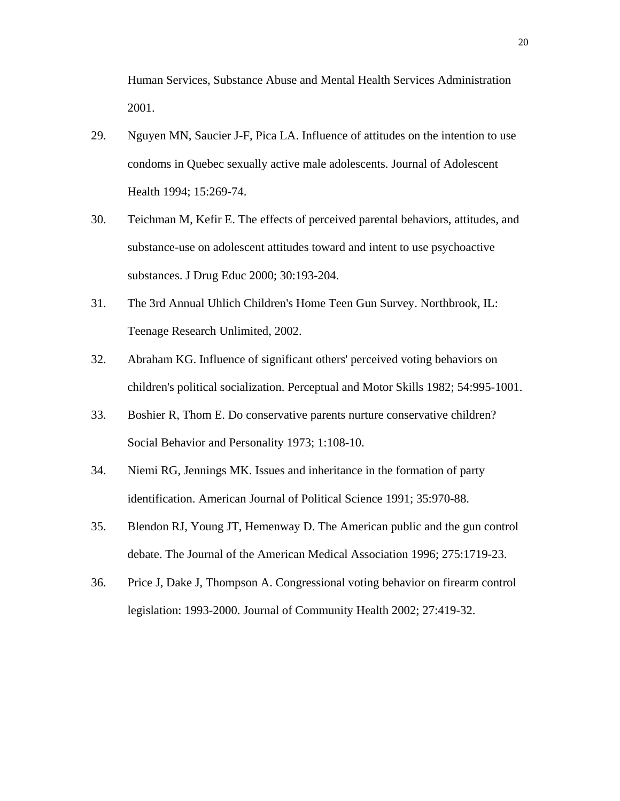Human Services, Substance Abuse and Mental Health Services Administration 2001.

- 29. Nguyen MN, Saucier J-F, Pica LA. Influence of attitudes on the intention to use condoms in Quebec sexually active male adolescents. Journal of Adolescent Health 1994; 15:269-74.
- 30. Teichman M, Kefir E. The effects of perceived parental behaviors, attitudes, and substance-use on adolescent attitudes toward and intent to use psychoactive substances. J Drug Educ 2000; 30:193-204.
- 31. The 3rd Annual Uhlich Children's Home Teen Gun Survey. Northbrook, IL: Teenage Research Unlimited, 2002.
- 32. Abraham KG. Influence of significant others' perceived voting behaviors on children's political socialization. Perceptual and Motor Skills 1982; 54:995-1001.
- 33. Boshier R, Thom E. Do conservative parents nurture conservative children? Social Behavior and Personality 1973; 1:108-10.
- 34. Niemi RG, Jennings MK. Issues and inheritance in the formation of party identification. American Journal of Political Science 1991; 35:970-88.
- 35. Blendon RJ, Young JT, Hemenway D. The American public and the gun control debate. The Journal of the American Medical Association 1996; 275:1719-23.
- 36. Price J, Dake J, Thompson A. Congressional voting behavior on firearm control legislation: 1993-2000. Journal of Community Health 2002; 27:419-32.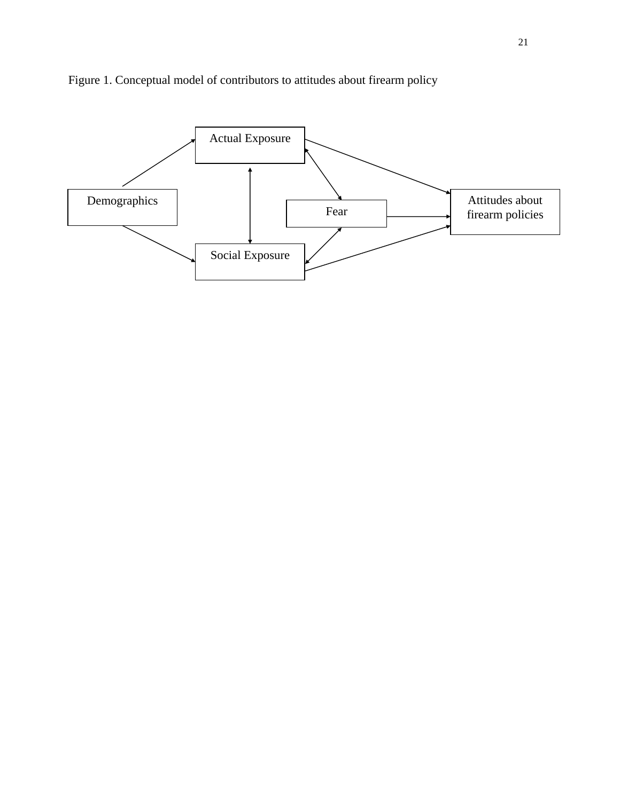

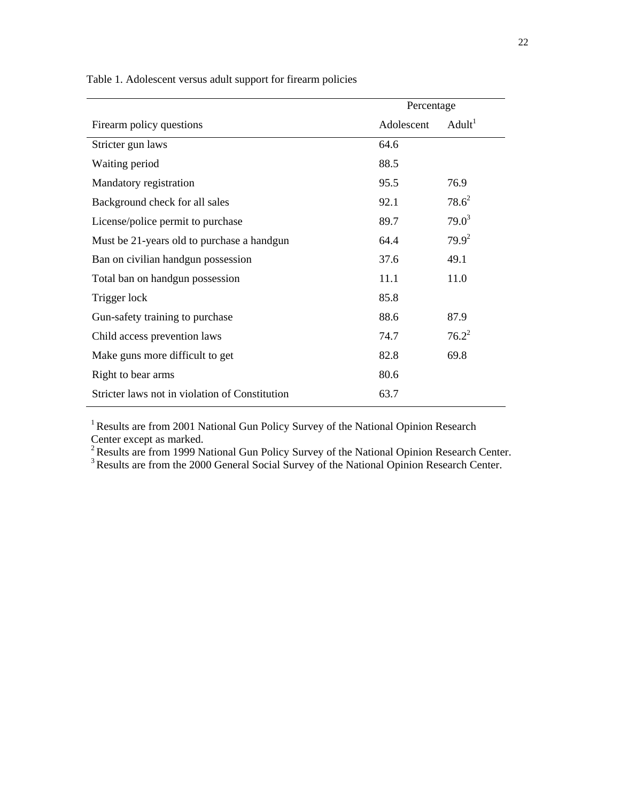| Percentage |                    |  |  |  |
|------------|--------------------|--|--|--|
| Adolescent | Adult <sup>1</sup> |  |  |  |
| 64.6       |                    |  |  |  |
| 88.5       |                    |  |  |  |
| 95.5       | 76.9               |  |  |  |
| 92.1       | $78.6^2$           |  |  |  |
| 89.7       | $79.0^3$           |  |  |  |
| 64.4       | $79.9^2$           |  |  |  |
| 37.6       | 49.1               |  |  |  |
| 11.1       | 11.0               |  |  |  |
| 85.8       |                    |  |  |  |
| 88.6       | 87.9               |  |  |  |
| 74.7       | $76.2^2$           |  |  |  |
| 82.8       | 69.8               |  |  |  |
| 80.6       |                    |  |  |  |
| 63.7       |                    |  |  |  |
|            |                    |  |  |  |

Table 1. Adolescent versus adult support for firearm policies

<sup>1</sup> Results are from 2001 National Gun Policy Survey of the National Opinion Research Center except as marked.

 $2$  Results are from 1999 National Gun Policy Survey of the National Opinion Research Center.

<sup>3</sup> Results are from the 2000 General Social Survey of the National Opinion Research Center.